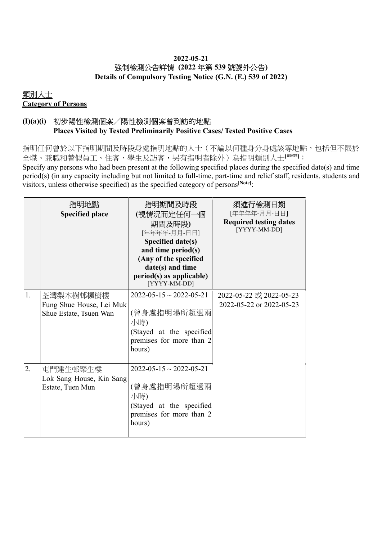#### 2022-05-21 強制檢測公告詳情 (2022 年第 539 號號外公告) Details of Compulsory Testing Notice (G.N. (E.) 539 of 2022)

## 類別人士 Category of Persons

#### (I)(a)(i) 初步陽性檢測個案╱陽性檢測個案曾到訪的地點 Places Visited by Tested Preliminarily Positive Cases/ Tested Positive Cases

指明任何曾於以下指明期間及時段身處指明地點的人士(不論以何種身分身處該等地點,包括但不限於 全職、兼職和替假員工、住客、學生及訪客,另有指明者除外)為指明類別人士[<sup>見辦註]</sup>:

Specify any persons who had been present at the following specified places during the specified date(s) and time period(s) (in any capacity including but not limited to full-time, part-time and relief staff, residents, students and visitors, unless otherwise specified) as the specified category of persons<sup>[Note]</sup>:

|    | 指明地點<br><b>Specified place</b>                                  | 指明期間及時段<br>(視情況而定任何一個<br>期間及時段)<br>[年年年年-月月-日日]<br>Specified date(s)<br>and time period(s)<br>(Any of the specified<br>date(s) and time<br>period(s) as applicable)<br>[YYYY-MM-DD] | 須進行檢測日期<br>[年年年年-月月-日日]<br><b>Required testing dates</b><br>[YYYY-MM-DD] |
|----|-----------------------------------------------------------------|-------------------------------------------------------------------------------------------------------------------------------------------------------------------------------------|--------------------------------------------------------------------------|
| 1. | 荃灣梨木樹邨楓樹樓<br>Fung Shue House, Lei Muk<br>Shue Estate, Tsuen Wan | $2022 - 05 - 15 \sim 2022 - 05 - 21$<br>(曾身處指明場所超過兩<br>小時)<br>(Stayed at the specified<br>premises for more than 2<br>hours)                                                        | 2022-05-22 或 2022-05-23<br>2022-05-22 or 2022-05-23                      |
| 2. | 屯門建生邨樂生樓<br>Lok Sang House, Kin Sang<br>Estate, Tuen Mun        | $2022 - 05 - 15 \sim 2022 - 05 - 21$<br>(曾身處指明場所超過兩<br>小時)<br>(Stayed at the specified<br>premises for more than 2<br>hours)                                                        |                                                                          |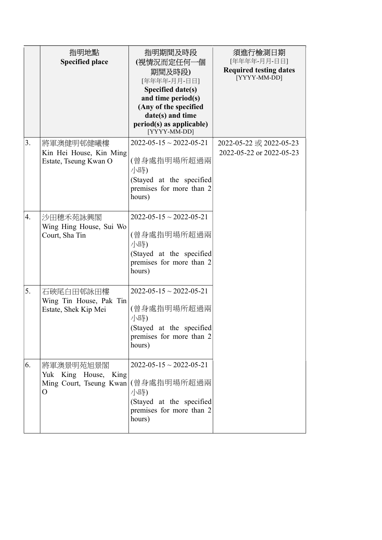|    | 指明地點                                 | 指明期間及時段                                              | 須進行檢測日期                       |
|----|--------------------------------------|------------------------------------------------------|-------------------------------|
|    | <b>Specified place</b>               | (視情況而定任何一個                                           | [年年年年-月月-日日]                  |
|    |                                      | 期間及時段)                                               | <b>Required testing dates</b> |
|    |                                      | [年年年年-月月-日日]                                         | [YYYY-MM-DD]                  |
|    |                                      | Specified date(s)                                    |                               |
|    |                                      | and time period(s)                                   |                               |
|    |                                      | (Any of the specified<br>date(s) and time            |                               |
|    |                                      | period(s) as applicable)                             |                               |
|    |                                      | [YYYY-MM-DD]                                         |                               |
| 3. | 將軍澳健明邨健曦樓                            | $2022 - 05 - 15 \sim 2022 - 05 - 21$                 | 2022-05-22 或 2022-05-23       |
|    | Kin Hei House, Kin Ming              |                                                      | 2022-05-22 or 2022-05-23      |
|    | Estate, Tseung Kwan O                | (曾身處指明場所超過兩                                          |                               |
|    |                                      | 小時)                                                  |                               |
|    |                                      | (Stayed at the specified<br>premises for more than 2 |                               |
|    |                                      | hours)                                               |                               |
|    |                                      |                                                      |                               |
| 4. | 沙田穗禾苑詠興閣                             | $2022 - 05 - 15 \sim 2022 - 05 - 21$                 |                               |
|    | Wing Hing House, Sui Wo              |                                                      |                               |
|    | Court, Sha Tin                       | (曾身處指明場所超過兩                                          |                               |
|    |                                      | 小時)                                                  |                               |
|    |                                      | (Stayed at the specified                             |                               |
|    |                                      | premises for more than 2                             |                               |
|    |                                      | hours)                                               |                               |
| 5. | 石硤尾白田邨詠田樓                            | $2022 - 05 - 15 \sim 2022 - 05 - 21$                 |                               |
|    | Wing Tin House, Pak Tin              |                                                      |                               |
|    | Estate, Shek Kip Mei                 | (曾身處指明場所超過兩                                          |                               |
|    |                                      | 小時)                                                  |                               |
|    |                                      | (Stayed at the specified                             |                               |
|    |                                      | premises for more than 2                             |                               |
|    |                                      | hours)                                               |                               |
| 6. |                                      | $2022 - 05 - 15 \approx 2022 - 05 - 21$              |                               |
|    | 將軍澳景明苑旭景閣<br>Yuk King House,<br>King |                                                      |                               |
|    | Ming Court, Tseung Kwan (曾身處指明場所超過兩  |                                                      |                               |
|    | O                                    | 小時)                                                  |                               |
|    |                                      | (Stayed at the specified                             |                               |
|    |                                      | premises for more than 2                             |                               |
|    |                                      | hours)                                               |                               |
|    |                                      |                                                      |                               |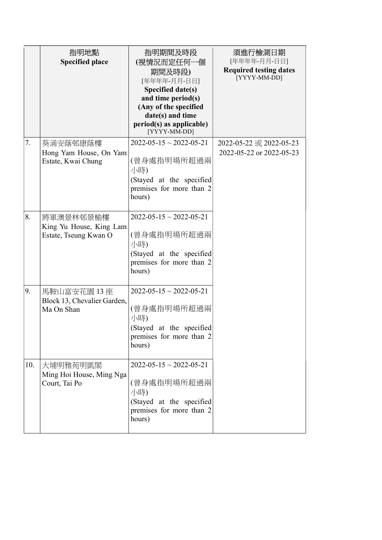|     | 指明地點<br><b>Specified place</b>                                | 指明期間及時段<br>(視情況而定任何一個<br>期間及時段)<br>[年年年年-月月-日日]<br>Specified date(s)<br>and time period(s)<br>(Any of the specified<br>date(s) and time<br>$period(s)$ as applicable)<br>[YYYY-MM-DD] | 須進行檢測日期<br>[年年年年-月月-日日]<br><b>Required testing dates</b><br>[YYYY-MM-DD] |
|-----|---------------------------------------------------------------|---------------------------------------------------------------------------------------------------------------------------------------------------------------------------------------|--------------------------------------------------------------------------|
| 7.  | 葵涌安蔭邨康蔭樓<br>Hong Yam House, On Yam<br>Estate, Kwai Chung      | $2022 - 05 - 15 \sim 2022 - 05 - 21$<br>(曾身處指明場所超過兩<br>小時)<br>(Stayed at the specified<br>premises for more than 2<br>hours)                                                          | 2022-05-22 或 2022-05-23<br>2022-05-22 or 2022-05-23                      |
| 8.  | 將軍澳景林邨景榆樓<br>King Yu House, King Lam<br>Estate, Tseung Kwan O | $2022 - 05 - 15 \approx 2022 - 05 - 21$<br>(曾身處指明場所超過兩<br>小時)<br>(Stayed at the specified<br>premises for more than 2<br>hours)                                                       |                                                                          |
| 9.  | 馬鞍山富安花園 13 座<br>Block 13, Chevalier Garden,<br>Ma On Shan     | $2022 - 05 - 15 \sim 2022 - 05 - 21$<br>(曾身處指明場所超過兩<br>小時)<br>(Stayed at the specified<br>premises for more than 2<br>hours)                                                          |                                                                          |
| 10. | 大埔明雅苑明凱閣<br>Ming Hoi House, Ming Nga<br>Court, Tai Po         | $2022 - 05 - 15 \sim 2022 - 05 - 21$<br>(曾身處指明場所超過兩<br>小時)<br>(Stayed at the specified<br>premises for more than 2<br>hours)                                                          |                                                                          |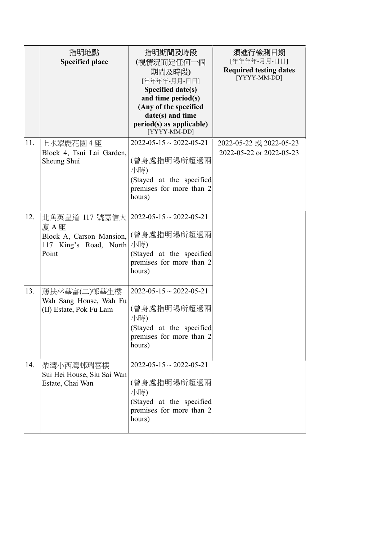|     | 指明地點<br><b>Specified place</b>                                                          | 指明期間及時段<br>(視情況而定任何一個<br>期間及時段)<br>[年年年年-月月-日日]<br>Specified date(s)<br>and time period(s)<br>(Any of the specified<br>date(s) and time<br>$period(s)$ as applicable)<br>[YYYY-MM-DD] | 須進行檢測日期<br>[年年年年-月月-日日]<br><b>Required testing dates</b><br>[YYYY-MM-DD] |
|-----|-----------------------------------------------------------------------------------------|---------------------------------------------------------------------------------------------------------------------------------------------------------------------------------------|--------------------------------------------------------------------------|
| 11. | 上水翠麗花園 4 座<br>Block 4, Tsui Lai Garden,<br>Sheung Shui                                  | $2022 - 05 - 15 \sim 2022 - 05 - 21$<br>(曾身處指明場所超過兩<br>小時)<br>(Stayed at the specified<br>premises for more than 2<br>hours)                                                          | 2022-05-22 或 2022-05-23<br>2022-05-22 or 2022-05-23                      |
| 12. | 北角英皇道 117 號嘉信大 <br>廈 A 座<br>Block A, Carson Mansion,<br>117 King's Road, North<br>Point | $2022 - 05 - 15 \sim 2022 - 05 - 21$<br>(曾身處指明場所超過兩<br>小時)<br>(Stayed at the specified<br>premises for more than 2<br>hours)                                                          |                                                                          |
| 13. | 薄扶林華富(二)邨華生樓<br>Wah Sang House, Wah Fu<br>(II) Estate, Pok Fu Lam                       | $2022 - 05 - 15 \sim 2022 - 05 - 21$<br>(曾身處指明場所超過兩<br>小時)<br>(Stayed at the specified<br>premises for more than 2<br>hours)                                                          |                                                                          |
| 14. | 柴灣小西灣邨瑞喜樓<br>Sui Hei House, Siu Sai Wan<br>Estate, Chai Wan                             | $2022 - 05 - 15 \sim 2022 - 05 - 21$<br>(曾身處指明場所超過兩<br>小時)<br>(Stayed at the specified<br>premises for more than 2<br>hours)                                                          |                                                                          |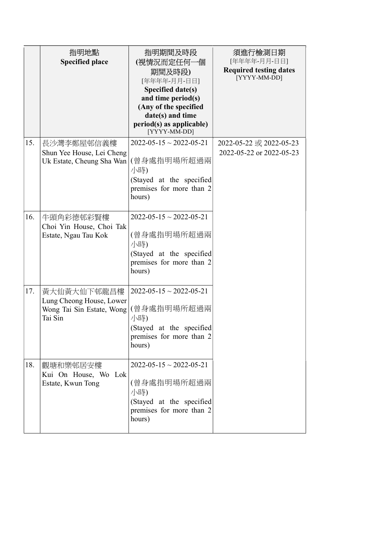|     | 指明地點<br><b>Specified place</b>                                                  | 指明期間及時段<br>(視情況而定任何一個<br>期間及時段)<br>[年年年年-月月-日日]<br>Specified date(s)<br>and time period(s)<br>(Any of the specified          | 須進行檢測日期<br>[年年年年-月月-日日]<br><b>Required testing dates</b><br>[YYYY-MM-DD] |
|-----|---------------------------------------------------------------------------------|------------------------------------------------------------------------------------------------------------------------------|--------------------------------------------------------------------------|
|     |                                                                                 | date(s) and time<br>period(s) as applicable)<br>[YYYY-MM-DD]                                                                 |                                                                          |
| 15. | 長沙灣李鄭屋邨信義樓<br>Shun Yee House, Lei Cheng<br>Uk Estate, Cheung Sha Wan            | $2022 - 05 - 15 \sim 2022 - 05 - 21$<br>(曾身處指明場所超過兩<br>小時)<br>(Stayed at the specified<br>premises for more than 2<br>hours) | 2022-05-22 或 2022-05-23<br>2022-05-22 or 2022-05-23                      |
| 16. | 牛頭角彩德邨彩賢樓<br>Choi Yin House, Choi Tak<br>Estate, Ngau Tau Kok                   | $2022 - 05 - 15 \sim 2022 - 05 - 21$<br>(曾身處指明場所超過兩<br>小時)<br>(Stayed at the specified<br>premises for more than 2<br>hours) |                                                                          |
| 17. | 黃大仙黃大仙下邨龍昌樓<br>Lung Cheong House, Lower<br>Wong Tai Sin Estate, Wong<br>Tai Sin | $2022 - 05 - 15 \sim 2022 - 05 - 21$<br>(曾身處指明場所超過兩<br>小時)<br>(Stayed at the specified<br>premises for more than 2<br>hours) |                                                                          |
| 18. | 觀塘和樂邨居安樓<br>Kui On House, Wo Lok<br>Estate, Kwun Tong                           | $2022 - 05 - 15 \sim 2022 - 05 - 21$<br>(曾身處指明場所超過兩<br>小時)<br>(Stayed at the specified<br>premises for more than 2<br>hours) |                                                                          |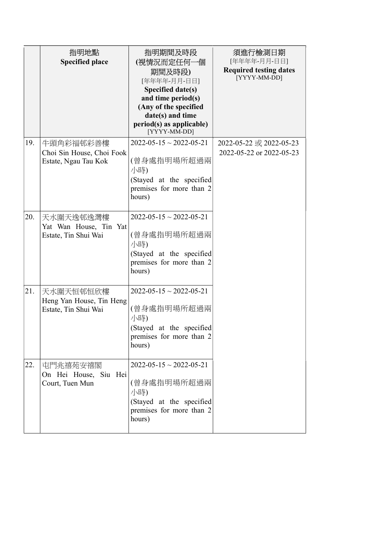|     | 指明地點<br><b>Specified place</b>                                 | 指明期間及時段<br>(視情況而定任何一個<br>期間及時段)<br>[年年年年-月月-日日]<br>Specified date(s)<br>and time period(s)<br>(Any of the specified<br>date(s) and time<br>$period(s)$ as applicable)<br>[YYYY-MM-DD] | 須進行檢測日期<br>[年年年年-月月-日日]<br><b>Required testing dates</b><br>[YYYY-MM-DD] |
|-----|----------------------------------------------------------------|---------------------------------------------------------------------------------------------------------------------------------------------------------------------------------------|--------------------------------------------------------------------------|
| 19. | 牛頭角彩福邨彩善樓<br>Choi Sin House, Choi Fook<br>Estate, Ngau Tau Kok | $2022 - 05 - 15 \sim 2022 - 05 - 21$<br>(曾身處指明場所超過兩<br>小時)<br>(Stayed at the specified<br>premises for more than 2<br>hours)                                                          | 2022-05-22 或 2022-05-23<br>2022-05-22 or 2022-05-23                      |
| 20. | 天水圍天逸邨逸灣樓<br>Yat Wan House, Tin Yat<br>Estate, Tin Shui Wai    | $2022 - 05 - 15 \sim 2022 - 05 - 21$<br>(曾身處指明場所超過兩<br>小時)<br>(Stayed at the specified<br>premises for more than 2<br>hours)                                                          |                                                                          |
| 21. | 天水圍天恒邨恒欣樓<br>Heng Yan House, Tin Heng<br>Estate, Tin Shui Wai  | $2022 - 05 - 15 \sim 2022 - 05 - 21$<br>(曾身處指明場所超過兩<br>小時)<br>(Stayed at the specified<br>premises for more than 2<br>hours)                                                          |                                                                          |
| 22. | 屯門兆禧苑安禧閣<br>On Hei House, Siu Hei<br>Court, Tuen Mun           | $2022 - 05 - 15 \sim 2022 - 05 - 21$<br>(曾身處指明場所超過兩<br>小時)<br>(Stayed at the specified<br>premises for more than 2<br>hours)                                                          |                                                                          |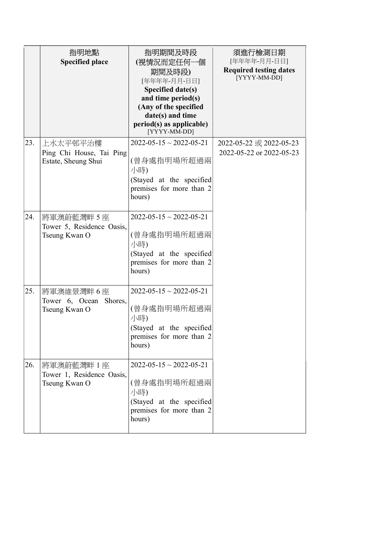|     | 指明地點                                            | 指明期間及時段                                                        | 須進行檢測日期                                       |
|-----|-------------------------------------------------|----------------------------------------------------------------|-----------------------------------------------|
|     | <b>Specified place</b>                          | (視情況而定任何一個                                                     | [年年年年-月月-日日]                                  |
|     |                                                 | 期間及時段)                                                         | <b>Required testing dates</b><br>[YYYY-MM-DD] |
|     |                                                 | [年年年年-月月-日日]                                                   |                                               |
|     |                                                 | Specified date(s)                                              |                                               |
|     |                                                 | and time period(s)<br>(Any of the specified                    |                                               |
|     |                                                 | date(s) and time                                               |                                               |
|     |                                                 | period(s) as applicable)<br>[YYYY-MM-DD]                       |                                               |
| 23. | 上水太平邨平治樓                                        | $2022 - 05 - 15 \sim 2022 - 05 - 21$                           | 2022-05-22 或 2022-05-23                       |
|     | Ping Chi House, Tai Ping<br>Estate, Sheung Shui | (曾身處指明場所超過兩<br>小時)                                             | 2022-05-22 or 2022-05-23                      |
|     |                                                 | (Stayed at the specified<br>premises for more than 2           |                                               |
|     |                                                 | hours)                                                         |                                               |
| 24. | 將軍澳蔚藍灣畔5座<br>Tower 5, Residence Oasis,          | $2022 - 05 - 15 \approx 2022 - 05 - 21$                        |                                               |
|     | Tseung Kwan O                                   | (曾身處指明場所超過兩<br>小時)                                             |                                               |
|     |                                                 | (Stayed at the specified                                       |                                               |
|     |                                                 | premises for more than 2<br>hours)                             |                                               |
| 25. | 將軍澳維景灣畔6座                                       | $2022 - 05 - 15 \sim 2022 - 05 - 21$                           |                                               |
|     | Tower 6, Ocean<br>Shores,<br>Tseung Kwan O      | (曾身處指明場所超過兩<br>小時)                                             |                                               |
|     |                                                 | (Stayed at the specified                                       |                                               |
|     |                                                 | premises for more than 2<br>hours)                             |                                               |
| 26. | 將軍澳蔚藍灣畔 1 座                                     | $2022 - 05 - 15 \sim 2022 - 05 - 21$                           |                                               |
|     | Tower 1, Residence Oasis,<br>Tseung Kwan O      | (曾身處指明場所超過兩<br>小時)                                             |                                               |
|     |                                                 | (Stayed at the specified<br>premises for more than 2<br>hours) |                                               |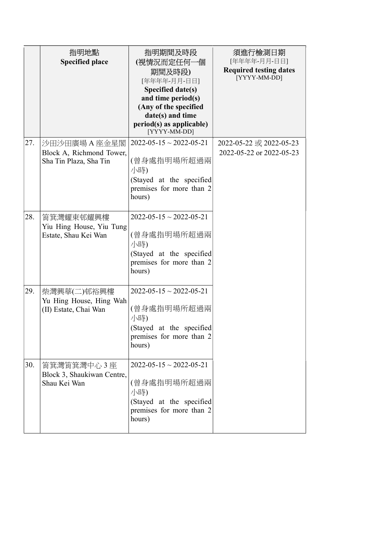|     | 指明地點<br><b>Specified place</b>                                      | 指明期間及時段<br>(視情況而定任何一個<br>期間及時段)<br>[年年年年-月月-日日]<br>Specified date(s)<br>and time period(s)<br>(Any of the specified<br>date(s) and time<br>$period(s)$ as applicable)<br>[YYYY-MM-DD] | 須進行檢測日期<br>[年年年年-月月-日日]<br><b>Required testing dates</b><br>[YYYY-MM-DD] |
|-----|---------------------------------------------------------------------|---------------------------------------------------------------------------------------------------------------------------------------------------------------------------------------|--------------------------------------------------------------------------|
| 27. | 沙田沙田廣場 A 座金星閣<br>Block A, Richmond Tower,<br>Sha Tin Plaza, Sha Tin | $2022 - 05 - 15 \sim 2022 - 05 - 21$<br>(曾身處指明場所超過兩<br>小時)<br>(Stayed at the specified<br>premises for more than 2<br>hours)                                                          | 2022-05-22 或 2022-05-23<br>2022-05-22 or 2022-05-23                      |
| 28. | 筲箕灣耀東邨耀興樓<br>Yiu Hing House, Yiu Tung<br>Estate, Shau Kei Wan       | $2022 - 05 - 15 \approx 2022 - 05 - 21$<br>(曾身處指明場所超過兩<br>小時)<br>(Stayed at the specified<br>premises for more than 2<br>hours)                                                       |                                                                          |
| 29. | 柴灣興華(二)邨裕興樓<br>Yu Hing House, Hing Wah<br>(II) Estate, Chai Wan     | $2022 - 05 - 15 \sim 2022 - 05 - 21$<br>(曾身處指明場所超過兩<br>小時)<br>(Stayed at the specified<br>premises for more than 2<br>hours)                                                          |                                                                          |
| 30. | 筲箕灣筲箕灣中心 3 座<br>Block 3, Shaukiwan Centre,<br>Shau Kei Wan          | $2022 - 05 - 15 \sim 2022 - 05 - 21$<br>(曾身處指明場所超過兩<br>小時)<br>(Stayed at the specified<br>premises for more than 2<br>hours)                                                          |                                                                          |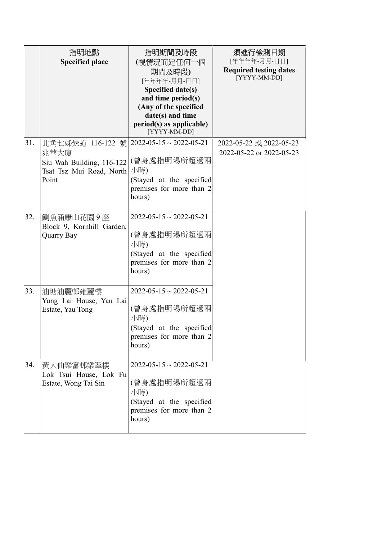|     | 指明地點<br><b>Specified place</b>                                                                                   | 指明期間及時段<br>(視情況而定任何一個<br>期間及時段)<br>[年年年年-月月-日日]<br>Specified date(s)<br>and time period(s)<br>(Any of the specified<br>date(s) and time<br>$period(s)$ as applicable)<br>[YYYY-MM-DD] | 須進行檢測日期<br>[年年年年-月月-日日]<br><b>Required testing dates</b><br>[YYYY-MM-DD] |
|-----|------------------------------------------------------------------------------------------------------------------|---------------------------------------------------------------------------------------------------------------------------------------------------------------------------------------|--------------------------------------------------------------------------|
| 31. | 北角七姊妹道 116-122 號 2022-05-15~2022-05-21<br>兆華大廈<br>Siu Wah Building, 116-122<br>Tsat Tsz Mui Road, North<br>Point | (曾身處指明場所超過兩<br>小時)<br>(Stayed at the specified<br>premises for more than 2<br>hours)                                                                                                  | 2022-05-22 或 2022-05-23<br>2022-05-22 or 2022-05-23                      |
| 32. | 鰂魚涌康山花園9座<br>Block 9, Kornhill Garden,<br>Quarry Bay                                                             | $2022 - 05 - 15 \approx 2022 - 05 - 21$<br>(曾身處指明場所超過兩<br>小時)<br>(Stayed at the specified<br>premises for more than 2<br>hours)                                                       |                                                                          |
| 33. | 油塘油麗邨雍麗樓<br>Yung Lai House, Yau Lai<br>Estate, Yau Tong                                                          | $2022 - 05 - 15 \sim 2022 - 05 - 21$<br>(曾身處指明場所超過兩<br>小時)<br>(Stayed at the specified<br>premises for more than 2<br>hours)                                                          |                                                                          |
| 34. | 黃大仙樂富邨樂翠樓<br>Lok Tsui House, Lok Fu<br>Estate, Wong Tai Sin                                                      | $2022 - 05 - 15 \sim 2022 - 05 - 21$<br>(曾身處指明場所超過兩<br>小時)<br>(Stayed at the specified<br>premises for more than 2<br>hours)                                                          |                                                                          |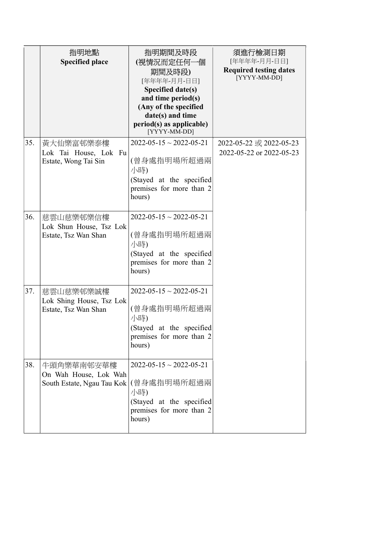|     | 指明地點                                                | 指明期間及時段                                     | 須進行檢測日期                                       |
|-----|-----------------------------------------------------|---------------------------------------------|-----------------------------------------------|
|     | <b>Specified place</b>                              | (視情況而定任何一個                                  | [年年年年-月月-日日]                                  |
|     |                                                     | 期間及時段)                                      | <b>Required testing dates</b><br>[YYYY-MM-DD] |
|     |                                                     | [年年年年-月月-日日]                                |                                               |
|     |                                                     | Specified date(s)                           |                                               |
|     |                                                     | and time period(s)<br>(Any of the specified |                                               |
|     |                                                     | date(s) and time                            |                                               |
|     |                                                     | period(s) as applicable)<br>[YYYY-MM-DD]    |                                               |
| 35. | 黃大仙樂富邨樂泰樓                                           | $2022 - 05 - 15 \sim 2022 - 05 - 21$        | 2022-05-22 或 2022-05-23                       |
|     | Lok Tai House, Lok Fu<br>Estate, Wong Tai Sin       | (曾身處指明場所超過兩<br>小時)                          | 2022-05-22 or 2022-05-23                      |
|     |                                                     | (Stayed at the specified                    |                                               |
|     |                                                     | premises for more than 2<br>hours)          |                                               |
| 36. | 慈雲山慈樂邨樂信樓                                           | $2022 - 05 - 15 \approx 2022 - 05 - 21$     |                                               |
|     | Lok Shun House, Tsz Lok                             |                                             |                                               |
|     | Estate, Tsz Wan Shan                                | (曾身處指明場所超過兩<br>小時)                          |                                               |
|     |                                                     | (Stayed at the specified                    |                                               |
|     |                                                     | premises for more than 2<br>hours)          |                                               |
| 37. | 慈雲山慈樂邨樂誠樓                                           | $2022 - 05 - 15 \sim 2022 - 05 - 21$        |                                               |
|     | Lok Shing House, Tsz Lok<br>Estate, Tsz Wan Shan    | (曾身處指明場所超過兩<br>小時)                          |                                               |
|     |                                                     | (Stayed at the specified                    |                                               |
|     |                                                     | premises for more than 2<br>hours)          |                                               |
| 38. | 牛頭角樂華南邨安華樓                                          | $2022 - 05 - 15 \sim 2022 - 05 - 21$        |                                               |
|     | On Wah House, Lok Wah<br>South Estate, Ngau Tau Kok | (曾身處指明場所超過兩<br>小時)                          |                                               |
|     |                                                     | (Stayed at the specified                    |                                               |
|     |                                                     | premises for more than 2<br>hours)          |                                               |
|     |                                                     |                                             |                                               |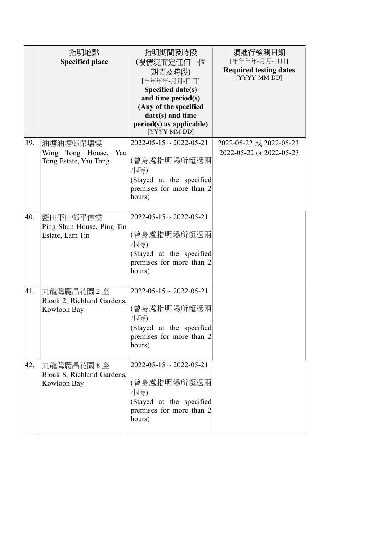|     | 指明地點                                                         | 指明期間及時段                                                                                                                                                                  | 須進行檢測日期                                                       |
|-----|--------------------------------------------------------------|--------------------------------------------------------------------------------------------------------------------------------------------------------------------------|---------------------------------------------------------------|
|     | <b>Specified place</b>                                       | (視情況而定任何一個<br>期間及時段)<br>[年年年年-月月-日日]<br>Specified date(s)<br>and time period(s)<br>(Any of the specified<br>date(s) and time<br>period(s) as applicable)<br>[YYYY-MM-DD] | [年年年年-月月-日日]<br><b>Required testing dates</b><br>[YYYY-MM-DD] |
| 39. | 油塘油塘邨榮塘樓<br>Wing Tong House,<br>Yau<br>Tong Estate, Yau Tong | $2022 - 05 - 15 \sim 2022 - 05 - 21$<br>(曾身處指明場所超過兩<br>小時)<br>(Stayed at the specified<br>premises for more than 2<br>hours)                                             | 2022-05-22 或 2022-05-23<br>2022-05-22 or 2022-05-23           |
| 40. | 藍田平田邨平信樓<br>Ping Shun House, Ping Tin<br>Estate, Lam Tin     | $2022 - 05 - 15 \approx 2022 - 05 - 21$<br>(曾身處指明場所超過兩<br>小時)<br>(Stayed at the specified<br>premises for more than 2<br>hours)                                          |                                                               |
| 41. | 九龍灣麗晶花園 2 座<br>Block 2, Richland Gardens,<br>Kowloon Bay     | $2022 - 05 - 15 \sim 2022 - 05 - 21$<br>(曾身處指明場所超過兩<br>小時)<br>(Stayed at the specified<br>premises for more than 2<br>hours)                                             |                                                               |
| 42. | 九龍灣麗晶花園8座<br>Block 8, Richland Gardens,<br>Kowloon Bay       | $2022 - 05 - 15 \sim 2022 - 05 - 21$<br>(曾身處指明場所超過兩<br>小時)<br>(Stayed at the specified<br>premises for more than 2<br>hours)                                             |                                                               |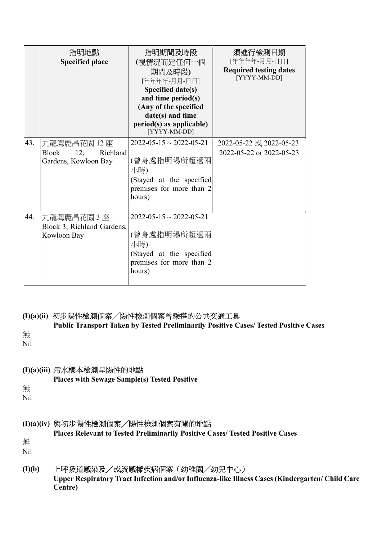|     | 指明地點<br><b>Specified place</b>                                          | 指明期間及時段<br>(視情況而定任何一個<br>期間及時段)<br>[年年年年-月月-日日]<br>Specified date(s)<br>and time period(s)<br>(Any of the specified<br>date(s) and time<br>$period(s)$ as applicable)<br>[YYYY-MM-DD] | 須進行檢測日期<br>[年年年年-月月-日日]<br><b>Required testing dates</b><br>[YYYY-MM-DD] |
|-----|-------------------------------------------------------------------------|---------------------------------------------------------------------------------------------------------------------------------------------------------------------------------------|--------------------------------------------------------------------------|
| 43. | 九龍灣麗晶花園 12 座<br><b>Block</b><br>12,<br>Richland<br>Gardens, Kowloon Bay | $2022 - 05 - 15 \approx 2022 - 05 - 21$<br>(曾身處指明場所超過兩<br>小時)<br>(Stayed at the specified<br>premises for more than 2<br>hours)                                                       | 2022-05-22 或 2022-05-23<br>2022-05-22 or 2022-05-23                      |
| 44. | 九龍灣麗晶花園3座<br>Block 3, Richland Gardens,<br>Kowloon Bay                  | $2022 - 05 - 15 \approx 2022 - 05 - 21$<br>(曾身處指明場所超過兩<br>小時)<br>(Stayed at the specified<br>premises for more than 2<br>hours)                                                       |                                                                          |

## (I)(a)(ii) 初步陽性檢測個案╱陽性檢測個案曾乘搭的公共交通工具

 Public Transport Taken by Tested Preliminarily Positive Cases/ Tested Positive Cases 無 Nil

## (I)(a)(iii) 污水樣本檢測呈陽性的地點

Places with Sewage Sample(s) Tested Positive

無 Nil

## (I)(a)(iv) 與初步陽性檢測個案╱陽性檢測個案有關的地點

Places Relevant to Tested Preliminarily Positive Cases/ Tested Positive Cases

無 Nil

# (I)(b) 上呼吸道感染及/或流感樣疾病個案(幼稚園╱幼兒中心)

 Upper Respiratory Tract Infection and/or Influenza-like Illness Cases (Kindergarten/ Child Care Centre)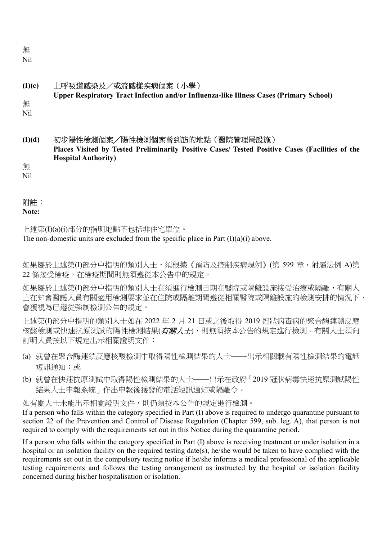無 Nil

| (I)(c)     | 上呼吸道感染及/或流感樣疾病個案(小學)                                                                            |
|------------|-------------------------------------------------------------------------------------------------|
|            | <b>Upper Respiratory Tract Infection and/or Influenza-like Illness Cases (Primary School)</b>   |
| 無          |                                                                                                 |
| <b>Nil</b> |                                                                                                 |
|            |                                                                                                 |
|            |                                                                                                 |
| (I)(d)     | 初步陽性檢測個案/陽性檢測個案曾到訪的地點(醫院管理局設施)                                                                  |
|            | Places Visited by Tested Preliminarily Positive Cases/ Tested Positive Cases (Facilities of the |
|            | <b>Hospital Authority</b> )                                                                     |

無 Nil

#### 附註:

Note:

上述第(I)(a)(i)部分的指明地點不包括非住宅單位。 The non-domestic units are excluded from the specific place in Part  $(I)(a)(i)$  above.

如果屬於上述第(I)部分中指明的類別人士,須根據《預防及控制疾病規例》(第 599 章,附屬法例 A)第 22 條接受檢疫,在檢疫期間則無須遵從本公告中的規定。

如果屬於上述第(I)部分中指明的類別人士在須進行檢測日期在醫院或隔離設施接受治療或隔離,有關人 士在知會醫護人員有關適用檢測要求並在住院或隔離期間遵從相關醫院或隔離設施的檢測安排的情況下, 會獲視為已遵從強制檢測公告的規定。

上述第(I)部分中指明的類別人士如在 2022 年 2 月 21 日或之後取得 2019 冠狀病毒病的聚合酶連鎖反應 核酸檢測或快速抗原測試的陽性檢測結果(*有關人士*),則無須按本公告的規定進行檢測。有關人士須向 訂明人員按以下規定出示相關證明文件:

- (a) 就曾在聚合酶連鎖反應核酸檢測中取得陽性檢測結果的人士——出示相關載有陽性檢測結果的電話 短訊通知;或
- (b) 就曾在快速抗原測試中取得陽性檢測結果的人士——出示在政府「2019 冠狀病毒快速抗原測試陽性 結果人士申報系統」作出申報後獲發的電話短訊通知或隔離令。

如有關人士未能出示相關證明文件,則仍須按本公告的規定進行檢測。

If a person who falls within the category specified in Part (I) above is required to undergo quarantine pursuant to section 22 of the Prevention and Control of Disease Regulation (Chapter 599, sub. leg. A), that person is not required to comply with the requirements set out in this Notice during the quarantine period.

If a person who falls within the category specified in Part (I) above is receiving treatment or under isolation in a hospital or an isolation facility on the required testing date(s), he/she would be taken to have complied with the requirements set out in the compulsory testing notice if he/she informs a medical professional of the applicable testing requirements and follows the testing arrangement as instructed by the hospital or isolation facility concerned during his/her hospitalisation or isolation.